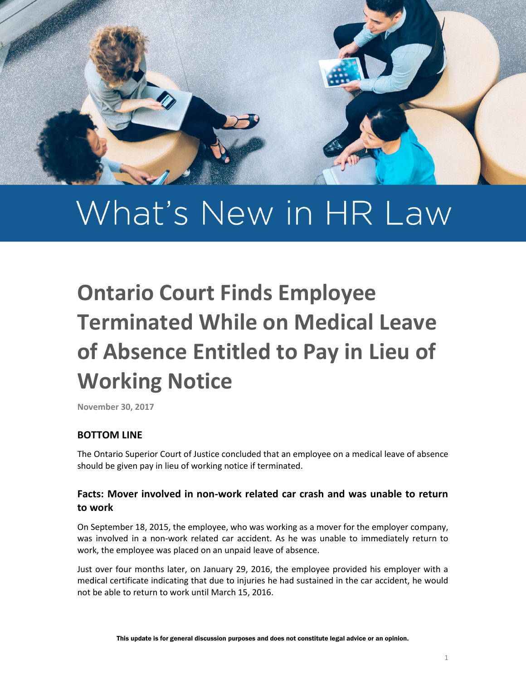

# What's New in HR Law

# **Ontario Court Finds Employee Terminated While on Medical Leave of Absence Entitled to Pay in Lieu of Working Notice**

**November 30, 2017**

## **BOTTOM LINE**

The Ontario Superior Court of Justice concluded that an employee on a medical leave of absence should be given pay in lieu of working notice if terminated.

## **Facts: Mover involved in non-work related car crash and was unable to return to work**

On September 18, 2015, the employee, who was working as a mover for the employer company, was involved in a non-work related car accident. As he was unable to immediately return to work, the employee was placed on an unpaid leave of absence.

Just over four months later, on January 29, 2016, the employee provided his employer with a medical certificate indicating that due to injuries he had sustained in the car accident, he would not be able to return to work until March 15, 2016.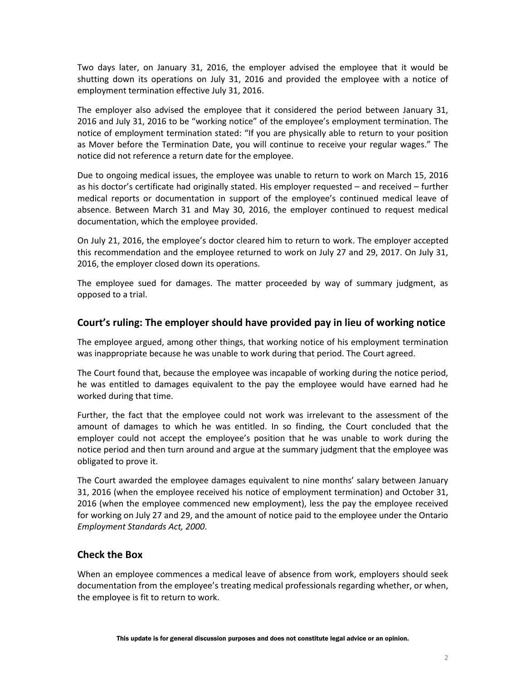Two days later, on January 31, 2016, the employer advised the employee that it would be shutting down its operations on July 31, 2016 and provided the employee with a notice of employment termination effective July 31, 2016.

The employer also advised the employee that it considered the period between January 31, 2016 and July 31, 2016 to be "working notice" of the employee's employment termination. The notice of employment termination stated: "If you are physically able to return to your position as Mover before the Termination Date, you will continue to receive your regular wages." The notice did not reference a return date for the employee.

Due to ongoing medical issues, the employee was unable to return to work on March 15, 2016 as his doctor's certificate had originally stated. His employer requested – and received – further medical reports or documentation in support of the employee's continued medical leave of absence. Between March 31 and May 30, 2016, the employer continued to request medical documentation, which the employee provided.

On July 21, 2016, the employee's doctor cleared him to return to work. The employer accepted this recommendation and the employee returned to work on July 27 and 29, 2017. On July 31, 2016, the employer closed down its operations.

The employee sued for damages. The matter proceeded by way of summary judgment, as opposed to a trial.

#### **Court's ruling: The employer should have provided pay in lieu of working notice**

The employee argued, among other things, that working notice of his employment termination was inappropriate because he was unable to work during that period. The Court agreed.

The Court found that, because the employee was incapable of working during the notice period, he was entitled to damages equivalent to the pay the employee would have earned had he worked during that time.

Further, the fact that the employee could not work was irrelevant to the assessment of the amount of damages to which he was entitled. In so finding, the Court concluded that the employer could not accept the employee's position that he was unable to work during the notice period and then turn around and argue at the summary judgment that the employee was obligated to prove it.

The Court awarded the employee damages equivalent to nine months' salary between January 31, 2016 (when the employee received his notice of employment termination) and October 31, 2016 (when the employee commenced new employment), less the pay the employee received for working on July 27 and 29, and the amount of notice paid to the employee under the Ontario *Employment Standards Act, 2000*.

#### **Check the Box**

When an employee commences a medical leave of absence from work, employers should seek documentation from the employee's treating medical professionals regarding whether, or when, the employee is fit to return to work.